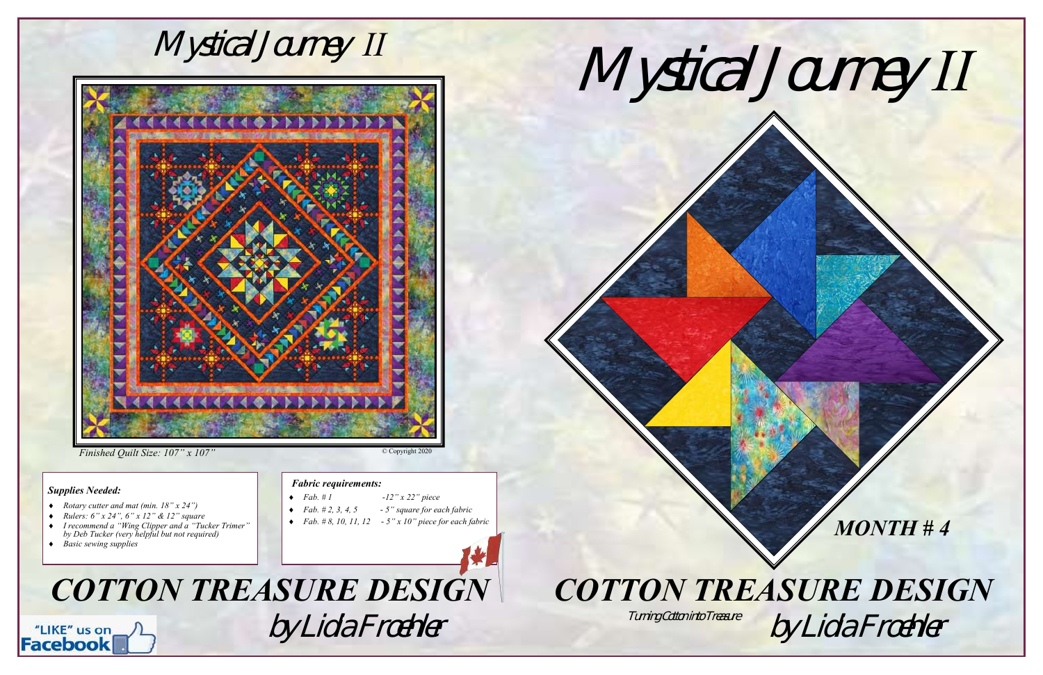

## *Finished Quilt Size: 107" x 107"*

### *Supplies Needed:*



- *Rotary cutter and mat (min. 18" x 24")*
- *Rulers: 6" x 24", 6" x 12" & 12" square*
- *I recommend a "Wing Clipper and a "Tucker Trimer" by Deb Tucker (very helpful but not required)*
- *Basic sewing supplies*

#### *Fabric requirements:*

© Copyright 2020



- *Fab. # 1 -12" x 22" piece*
- *Fab. # 2, 3, 4, 5 - 5" square for each fabric*
- *Fab. # 8, 10, 11, 12 - 5" x 10" piece for each fabric*

Turning Cotton into Treasure